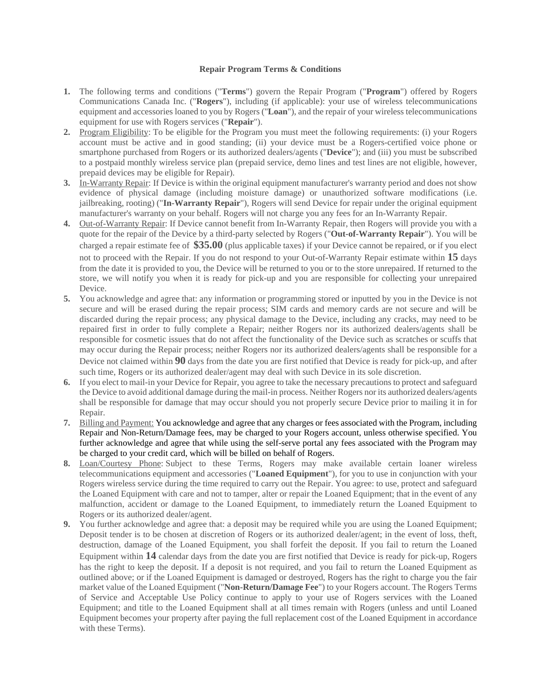## **Repair Program Terms & Conditions**

- **1.** The following terms and conditions ("**Terms**") govern the Repair Program ("**Program**") offered by Rogers Communications Canada Inc. ("**Rogers**"), including (if applicable): your use of wireless telecommunications equipment and accessories loaned to you by Rogers ("**Loan**"), and the repair of your wireless telecommunications equipment for use with Rogers services ("**Repair**").
- **2.** Program Eligibility: To be eligible for the Program you must meet the following requirements: (i) your Rogers account must be active and in good standing; (ii) your device must be a Rogers-certified voice phone or smartphone purchased from Rogers or its authorized dealers/agents ("**Device**"); and (iii) you must be subscribed to a postpaid monthly wireless service plan (prepaid service, demo lines and test lines are not eligible, however, prepaid devices may be eligible for Repair).
- **3.** In-Warranty Repair: If Device is within the original equipment manufacturer's warranty period and does not show evidence of physical damage (including moisture damage) or unauthorized software modifications (i.e. jailbreaking, rooting) ("**In-Warranty Repair**"), Rogers will send Device for repair under the original equipment manufacturer's warranty on your behalf. Rogers will not charge you any fees for an In-Warranty Repair.
- **4.** Out-of-Warranty Repair: If Device cannot benefit from In-Warranty Repair, then Rogers will provide you with a quote for the repair of the Device by a third-party selected by Rogers ("**Out-of-Warranty Repair**"). You will be charged a repair estimate fee of **\$35.00** (plus applicable taxes) if your Device cannot be repaired, or if you elect not to proceed with the Repair. If you do not respond to your Out-of-Warranty Repair estimate within **15** days from the date it is provided to you, the Device will be returned to you or to the store unrepaired. If returned to the store, we will notify you when it is ready for pick-up and you are responsible for collecting your unrepaired Device.
- **5.** You acknowledge and agree that: any information or programming stored or inputted by you in the Device is not secure and will be erased during the repair process; SIM cards and memory cards are not secure and will be discarded during the repair process; any physical damage to the Device, including any cracks, may need to be repaired first in order to fully complete a Repair; neither Rogers nor its authorized dealers/agents shall be responsible for cosmetic issues that do not affect the functionality of the Device such as scratches or scuffs that may occur during the Repair process; neither Rogers nor its authorized dealers/agents shall be responsible for a Device not claimed within **90** days from the date you are first notified that Device is ready for pick-up, and after such time, Rogers or its authorized dealer/agent may deal with such Device in its sole discretion.
- **6.** If you elect to mail-in your Device for Repair, you agree to take the necessary precautions to protect and safeguard the Device to avoid additional damage during the mail-in process. Neither Rogers nor its authorized dealers/agents shall be responsible for damage that may occur should you not properly secure Device prior to mailing it in for Repair.
- **7.** Billing and Payment: You acknowledge and agree that any charges or fees associated with the Program, including Repair and Non-Return/Damage fees, may be charged to your Rogers account, unless otherwise specified. You further acknowledge and agree that while using the self-serve portal any fees associated with the Program may be charged to your credit card, which will be billed on behalf of Rogers.
- **8.** Loan/Courtesy Phone: Subject to these Terms, Rogers may make available certain loaner wireless telecommunications equipment and accessories ("**Loaned Equipment**"), for you to use in conjunction with your Rogers wireless service during the time required to carry out the Repair. You agree: to use, protect and safeguard the Loaned Equipment with care and not to tamper, alter or repair the Loaned Equipment; that in the event of any malfunction, accident or damage to the Loaned Equipment, to immediately return the Loaned Equipment to Rogers or its authorized dealer/agent.
- **9.** You further acknowledge and agree that: a deposit may be required while you are using the Loaned Equipment; Deposit tender is to be chosen at discretion of Rogers or its authorized dealer/agent; in the event of loss, theft, destruction, damage of the Loaned Equipment, you shall forfeit the deposit. If you fail to return the Loaned Equipment within **14** calendar days from the date you are first notified that Device is ready for pick-up, Rogers has the right to keep the deposit. If a deposit is not required, and you fail to return the Loaned Equipment as outlined above; or if the Loaned Equipment is damaged or destroyed, Rogers has the right to charge you the fair market value of the Loaned Equipment ("**Non-Return/Damage Fee**") to your Rogers account. The Rogers Terms of Service and Acceptable Use Policy continue to apply to your use of Rogers services with the Loaned Equipment; and title to the Loaned Equipment shall at all times remain with Rogers (unless and until Loaned Equipment becomes your property after paying the full replacement cost of the Loaned Equipment in accordance with these Terms).